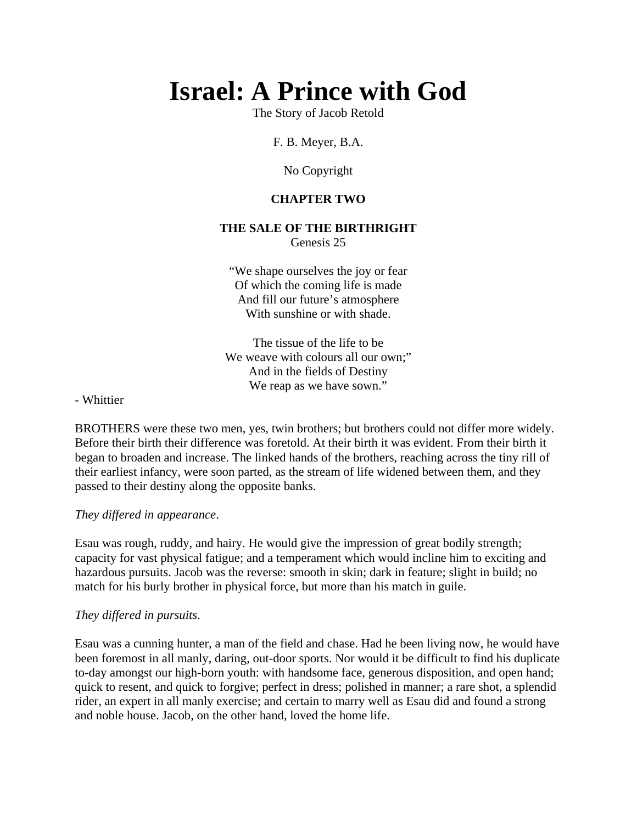# **Israel: A Prince with God** The Story of Jacob Retold

F. B. Meyer, B.A.

No Copyright

## **CHAPTER TWO**

### **THE SALE OF THE BIRTHRIGHT**  Genesis 25

"We shape ourselves the joy or fear Of which the coming life is made And fill our future's atmosphere With sunshine or with shade.

The tissue of the life to be We weave with colours all our own:" And in the fields of Destiny We reap as we have sown."

- Whittier

BROTHERS were these two men, yes, twin brothers; but brothers could not differ more widely. Before their birth their difference was foretold. At their birth it was evident. From their birth it began to broaden and increase. The linked hands of the brothers, reaching across the tiny rill of their earliest infancy, were soon parted, as the stream of life widened between them, and they passed to their destiny along the opposite banks.

#### *They differed in appearance*.

Esau was rough, ruddy, and hairy. He would give the impression of great bodily strength; capacity for vast physical fatigue; and a temperament which would incline him to exciting and hazardous pursuits. Jacob was the reverse: smooth in skin; dark in feature; slight in build; no match for his burly brother in physical force, but more than his match in guile.

#### *They differed in pursuits*.

Esau was a cunning hunter, a man of the field and chase. Had he been living now, he would have been foremost in all manly, daring, out-door sports. Nor would it be difficult to find his duplicate to-day amongst our high-born youth: with handsome face, generous disposition, and open hand; quick to resent, and quick to forgive; perfect in dress; polished in manner; a rare shot, a splendid rider, an expert in all manly exercise; and certain to marry well as Esau did and found a strong and noble house. Jacob, on the other hand, loved the home life.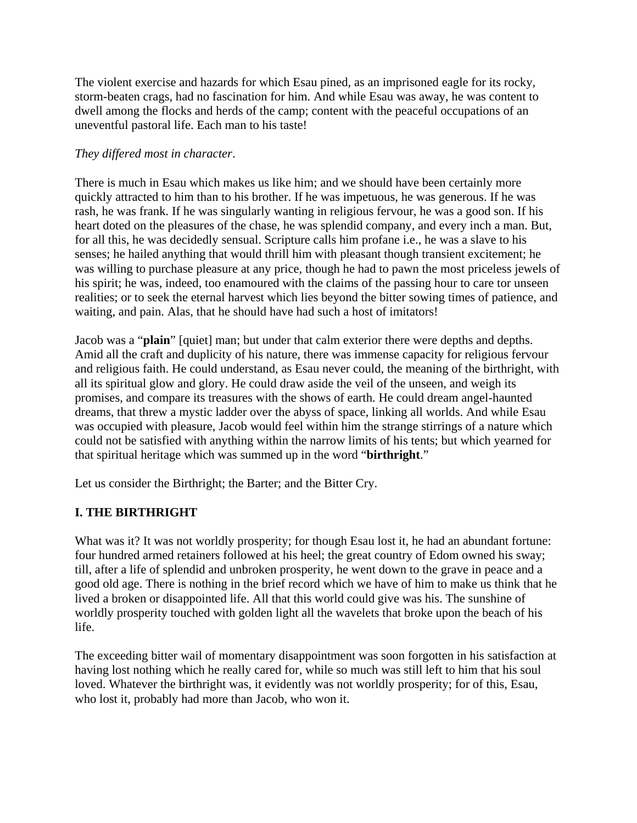The violent exercise and hazards for which Esau pined, as an imprisoned eagle for its rocky, storm-beaten crags, had no fascination for him. And while Esau was away, he was content to dwell among the flocks and herds of the camp; content with the peaceful occupations of an uneventful pastoral life. Each man to his taste!

## *They differed most in character*.

There is much in Esau which makes us like him; and we should have been certainly more quickly attracted to him than to his brother. If he was impetuous, he was generous. If he was rash, he was frank. If he was singularly wanting in religious fervour, he was a good son. If his heart doted on the pleasures of the chase, he was splendid company, and every inch a man. But, for all this, he was decidedly sensual. Scripture calls him profane i.e., he was a slave to his senses; he hailed anything that would thrill him with pleasant though transient excitement; he was willing to purchase pleasure at any price, though he had to pawn the most priceless jewels of his spirit; he was, indeed, too enamoured with the claims of the passing hour to care tor unseen realities; or to seek the eternal harvest which lies beyond the bitter sowing times of patience, and waiting, and pain. Alas, that he should have had such a host of imitators!

Jacob was a "**plain**" [quiet] man; but under that calm exterior there were depths and depths. Amid all the craft and duplicity of his nature, there was immense capacity for religious fervour and religious faith. He could understand, as Esau never could, the meaning of the birthright, with all its spiritual glow and glory. He could draw aside the veil of the unseen, and weigh its promises, and compare its treasures with the shows of earth. He could dream angel-haunted dreams, that threw a mystic ladder over the abyss of space, linking all worlds. And while Esau was occupied with pleasure, Jacob would feel within him the strange stirrings of a nature which could not be satisfied with anything within the narrow limits of his tents; but which yearned for that spiritual heritage which was summed up in the word "**birthright**."

Let us consider the Birthright; the Barter; and the Bitter Cry.

# **I. THE BIRTHRIGHT**

What was it? It was not worldly prosperity; for though Esau lost it, he had an abundant fortune: four hundred armed retainers followed at his heel; the great country of Edom owned his sway; till, after a life of splendid and unbroken prosperity, he went down to the grave in peace and a good old age. There is nothing in the brief record which we have of him to make us think that he lived a broken or disappointed life. All that this world could give was his. The sunshine of worldly prosperity touched with golden light all the wavelets that broke upon the beach of his life.

The exceeding bitter wail of momentary disappointment was soon forgotten in his satisfaction at having lost nothing which he really cared for, while so much was still left to him that his soul loved. Whatever the birthright was, it evidently was not worldly prosperity; for of this, Esau, who lost it, probably had more than Jacob, who won it.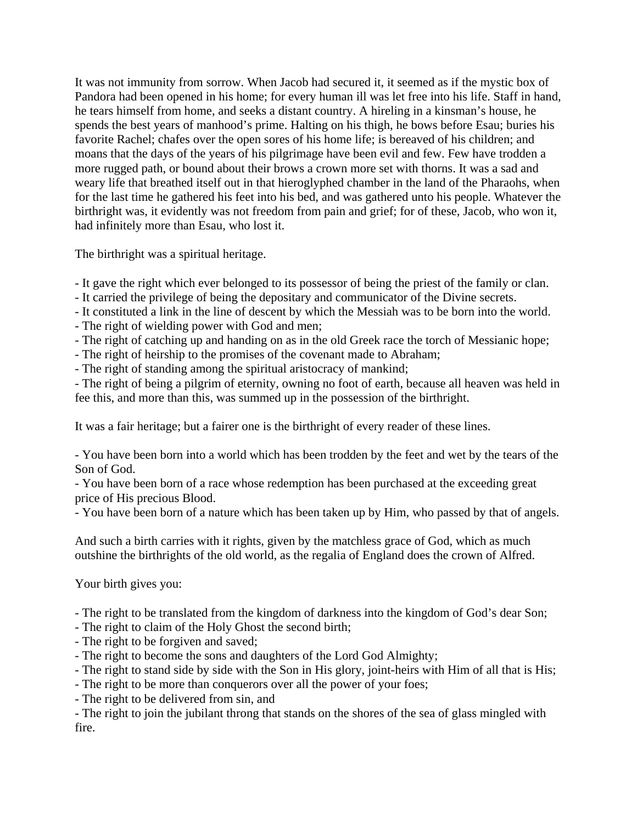It was not immunity from sorrow. When Jacob had secured it, it seemed as if the mystic box of Pandora had been opened in his home; for every human ill was let free into his life. Staff in hand, he tears himself from home, and seeks a distant country. A hireling in a kinsman's house, he spends the best years of manhood's prime. Halting on his thigh, he bows before Esau; buries his favorite Rachel; chafes over the open sores of his home life; is bereaved of his children; and moans that the days of the years of his pilgrimage have been evil and few. Few have trodden a more rugged path, or bound about their brows a crown more set with thorns. It was a sad and weary life that breathed itself out in that hieroglyphed chamber in the land of the Pharaohs, when for the last time he gathered his feet into his bed, and was gathered unto his people. Whatever the birthright was, it evidently was not freedom from pain and grief; for of these, Jacob, who won it, had infinitely more than Esau, who lost it.

The birthright was a spiritual heritage.

- It gave the right which ever belonged to its possessor of being the priest of the family or clan.

- It carried the privilege of being the depositary and communicator of the Divine secrets.
- It constituted a link in the line of descent by which the Messiah was to be born into the world.
- The right of wielding power with God and men;
- The right of catching up and handing on as in the old Greek race the torch of Messianic hope;
- The right of heirship to the promises of the covenant made to Abraham;
- The right of standing among the spiritual aristocracy of mankind;

- The right of being a pilgrim of eternity, owning no foot of earth, because all heaven was held in fee this, and more than this, was summed up in the possession of the birthright.

It was a fair heritage; but a fairer one is the birthright of every reader of these lines.

- You have been born into a world which has been trodden by the feet and wet by the tears of the Son of God.

- You have been born of a race whose redemption has been purchased at the exceeding great price of His precious Blood.

- You have been born of a nature which has been taken up by Him, who passed by that of angels.

And such a birth carries with it rights, given by the matchless grace of God, which as much outshine the birthrights of the old world, as the regalia of England does the crown of Alfred.

Your birth gives you:

- The right to be translated from the kingdom of darkness into the kingdom of God's dear Son;
- The right to claim of the Holy Ghost the second birth;
- The right to be forgiven and saved;
- The right to become the sons and daughters of the Lord God Almighty;
- The right to stand side by side with the Son in His glory, joint-heirs with Him of all that is His;
- The right to be more than conquerors over all the power of your foes;
- The right to be delivered from sin, and

- The right to join the jubilant throng that stands on the shores of the sea of glass mingled with fire.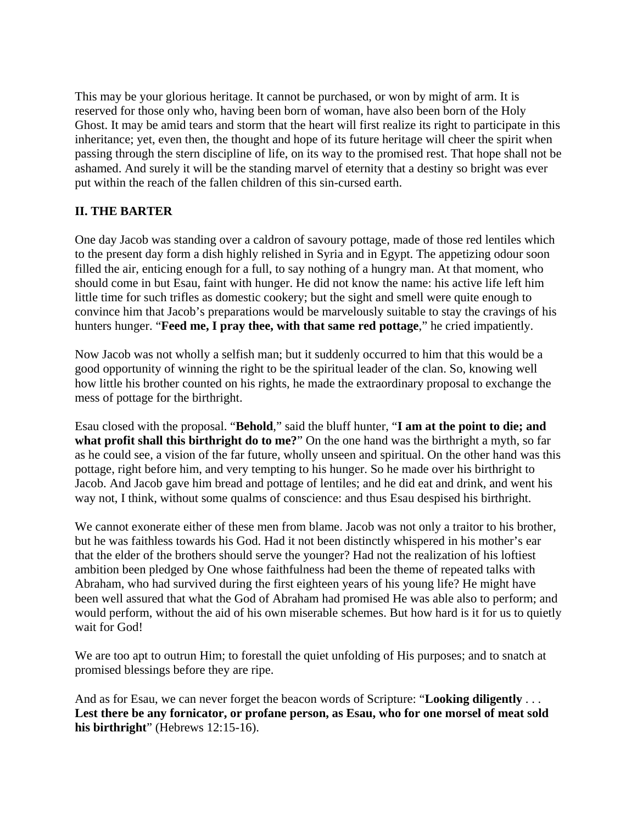This may be your glorious heritage. It cannot be purchased, or won by might of arm. It is reserved for those only who, having been born of woman, have also been born of the Holy Ghost. It may be amid tears and storm that the heart will first realize its right to participate in this inheritance; yet, even then, the thought and hope of its future heritage will cheer the spirit when passing through the stern discipline of life, on its way to the promised rest. That hope shall not be ashamed. And surely it will be the standing marvel of eternity that a destiny so bright was ever put within the reach of the fallen children of this sin-cursed earth.

## **II. THE BARTER**

One day Jacob was standing over a caldron of savoury pottage, made of those red lentiles which to the present day form a dish highly relished in Syria and in Egypt. The appetizing odour soon filled the air, enticing enough for a full, to say nothing of a hungry man. At that moment, who should come in but Esau, faint with hunger. He did not know the name: his active life left him little time for such trifles as domestic cookery; but the sight and smell were quite enough to convince him that Jacob's preparations would be marvelously suitable to stay the cravings of his hunters hunger. "**Feed me, I pray thee, with that same red pottage**," he cried impatiently.

Now Jacob was not wholly a selfish man; but it suddenly occurred to him that this would be a good opportunity of winning the right to be the spiritual leader of the clan. So, knowing well how little his brother counted on his rights, he made the extraordinary proposal to exchange the mess of pottage for the birthright.

Esau closed with the proposal. "**Behold**," said the bluff hunter, "**I am at the point to die; and what profit shall this birthright do to me?**" On the one hand was the birthright a myth, so far as he could see, a vision of the far future, wholly unseen and spiritual. On the other hand was this pottage, right before him, and very tempting to his hunger. So he made over his birthright to Jacob. And Jacob gave him bread and pottage of lentiles; and he did eat and drink, and went his way not, I think, without some qualms of conscience: and thus Esau despised his birthright.

We cannot exonerate either of these men from blame. Jacob was not only a traitor to his brother, but he was faithless towards his God. Had it not been distinctly whispered in his mother's ear that the elder of the brothers should serve the younger? Had not the realization of his loftiest ambition been pledged by One whose faithfulness had been the theme of repeated talks with Abraham, who had survived during the first eighteen years of his young life? He might have been well assured that what the God of Abraham had promised He was able also to perform; and would perform, without the aid of his own miserable schemes. But how hard is it for us to quietly wait for God!

We are too apt to outrun Him; to forestall the quiet unfolding of His purposes; and to snatch at promised blessings before they are ripe.

And as for Esau, we can never forget the beacon words of Scripture: "**Looking diligently** . . . **Lest there be any fornicator, or profane person, as Esau, who for one morsel of meat sold his birthright**" (Hebrews 12:15-16).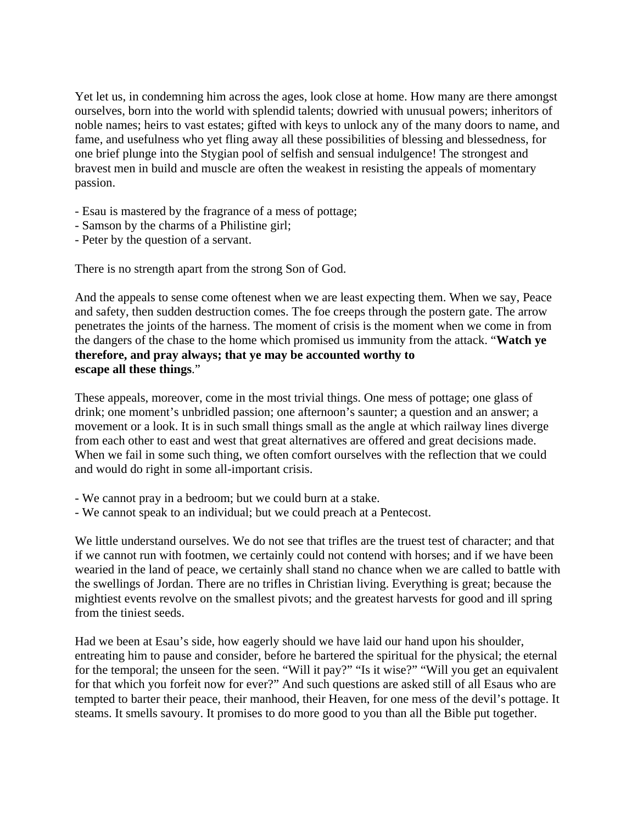Yet let us, in condemning him across the ages, look close at home. How many are there amongst ourselves, born into the world with splendid talents; dowried with unusual powers; inheritors of noble names; heirs to vast estates; gifted with keys to unlock any of the many doors to name, and fame, and usefulness who yet fling away all these possibilities of blessing and blessedness, for one brief plunge into the Stygian pool of selfish and sensual indulgence! The strongest and bravest men in build and muscle are often the weakest in resisting the appeals of momentary passion.

- Esau is mastered by the fragrance of a mess of pottage;
- Samson by the charms of a Philistine girl;
- Peter by the question of a servant.

There is no strength apart from the strong Son of God.

And the appeals to sense come oftenest when we are least expecting them. When we say, Peace and safety, then sudden destruction comes. The foe creeps through the postern gate. The arrow penetrates the joints of the harness. The moment of crisis is the moment when we come in from the dangers of the chase to the home which promised us immunity from the attack. "**Watch ye therefore, and pray always; that ye may be accounted worthy to escape all these things**."

These appeals, moreover, come in the most trivial things. One mess of pottage; one glass of drink; one moment's unbridled passion; one afternoon's saunter; a question and an answer; a movement or a look. It is in such small things small as the angle at which railway lines diverge from each other to east and west that great alternatives are offered and great decisions made. When we fail in some such thing, we often comfort ourselves with the reflection that we could and would do right in some all-important crisis.

- We cannot pray in a bedroom; but we could burn at a stake.
- We cannot speak to an individual; but we could preach at a Pentecost.

We little understand ourselves. We do not see that trifles are the truest test of character; and that if we cannot run with footmen, we certainly could not contend with horses; and if we have been wearied in the land of peace, we certainly shall stand no chance when we are called to battle with the swellings of Jordan. There are no trifles in Christian living. Everything is great; because the mightiest events revolve on the smallest pivots; and the greatest harvests for good and ill spring from the tiniest seeds.

Had we been at Esau's side, how eagerly should we have laid our hand upon his shoulder, entreating him to pause and consider, before he bartered the spiritual for the physical; the eternal for the temporal; the unseen for the seen. "Will it pay?" "Is it wise?" "Will you get an equivalent for that which you forfeit now for ever?" And such questions are asked still of all Esaus who are tempted to barter their peace, their manhood, their Heaven, for one mess of the devil's pottage. It steams. It smells savoury. It promises to do more good to you than all the Bible put together.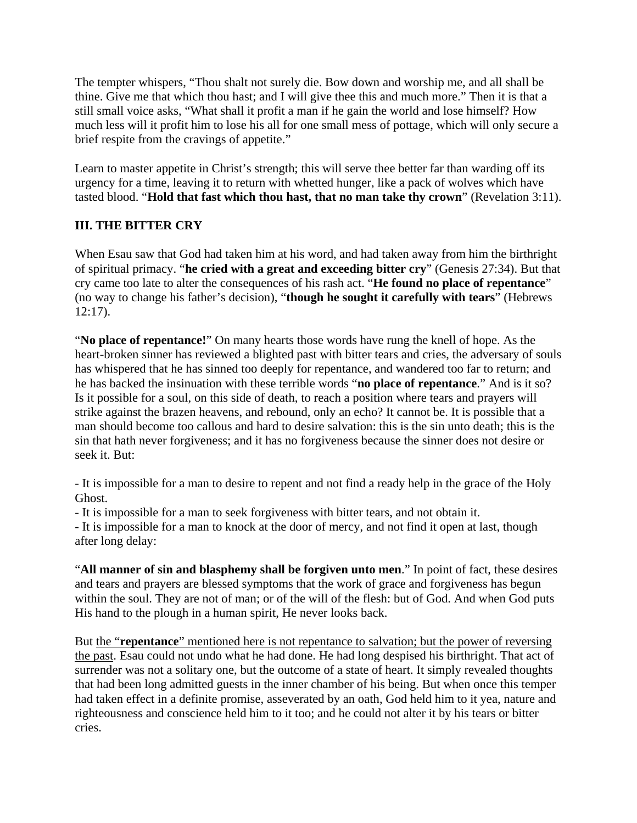The tempter whispers, "Thou shalt not surely die. Bow down and worship me, and all shall be thine. Give me that which thou hast; and I will give thee this and much more." Then it is that a still small voice asks, "What shall it profit a man if he gain the world and lose himself? How much less will it profit him to lose his all for one small mess of pottage, which will only secure a brief respite from the cravings of appetite."

Learn to master appetite in Christ's strength; this will serve thee better far than warding off its urgency for a time, leaving it to return with whetted hunger, like a pack of wolves which have tasted blood. "**Hold that fast which thou hast, that no man take thy crown**" (Revelation 3:11).

# **III. THE BITTER CRY**

When Esau saw that God had taken him at his word, and had taken away from him the birthright of spiritual primacy. "**he cried with a great and exceeding bitter cry**" (Genesis 27:34). But that cry came too late to alter the consequences of his rash act. "**He found no place of repentance**" (no way to change his father's decision), "**though he sought it carefully with tears**" (Hebrews 12:17).

"**No place of repentance!**" On many hearts those words have rung the knell of hope. As the heart-broken sinner has reviewed a blighted past with bitter tears and cries, the adversary of souls has whispered that he has sinned too deeply for repentance, and wandered too far to return; and he has backed the insinuation with these terrible words "**no place of repentance**." And is it so? Is it possible for a soul, on this side of death, to reach a position where tears and prayers will strike against the brazen heavens, and rebound, only an echo? It cannot be. It is possible that a man should become too callous and hard to desire salvation: this is the sin unto death; this is the sin that hath never forgiveness; and it has no forgiveness because the sinner does not desire or seek it. But:

- It is impossible for a man to desire to repent and not find a ready help in the grace of the Holy Ghost.

- It is impossible for a man to seek forgiveness with bitter tears, and not obtain it.

- It is impossible for a man to knock at the door of mercy, and not find it open at last, though after long delay:

"**All manner of sin and blasphemy shall be forgiven unto men**." In point of fact, these desires and tears and prayers are blessed symptoms that the work of grace and forgiveness has begun within the soul. They are not of man; or of the will of the flesh: but of God. And when God puts His hand to the plough in a human spirit, He never looks back.

But the "**repentance**" mentioned here is not repentance to salvation; but the power of reversing the past. Esau could not undo what he had done. He had long despised his birthright. That act of surrender was not a solitary one, but the outcome of a state of heart. It simply revealed thoughts that had been long admitted guests in the inner chamber of his being. But when once this temper had taken effect in a definite promise, asseverated by an oath, God held him to it yea, nature and righteousness and conscience held him to it too; and he could not alter it by his tears or bitter cries.